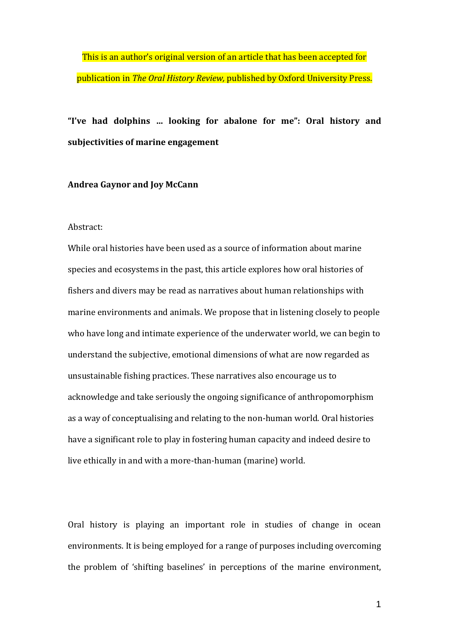This is an author's original version of an article that has been accepted for publication in *The Oral History Review,* published by Oxford University Press.

# **"I've had dolphins … looking for abalone for me": Oral history and subjectivities of marine engagement**

#### **Andrea Gaynor and Joy McCann**

# Abstract:

While oral histories have been used as a source of information about marine species and ecosystems in the past, this article explores how oral histories of fishers and divers may be read as narratives about human relationships with marine environments and animals. We propose that in listening closely to people who have long and intimate experience of the underwater world, we can begin to understand the subjective, emotional dimensions of what are now regarded as unsustainable fishing practices. These narratives also encourage us to acknowledge and take seriously the ongoing significance of anthropomorphism as a way of conceptualising and relating to the non-human world. Oral histories have a significant role to play in fostering human capacity and indeed desire to live ethically in and with a more-than-human (marine) world.

Oral history is playing an important role in studies of change in ocean environments. It is being employed for a range of purposes including overcoming the problem of 'shifting baselines' in perceptions of the marine environment,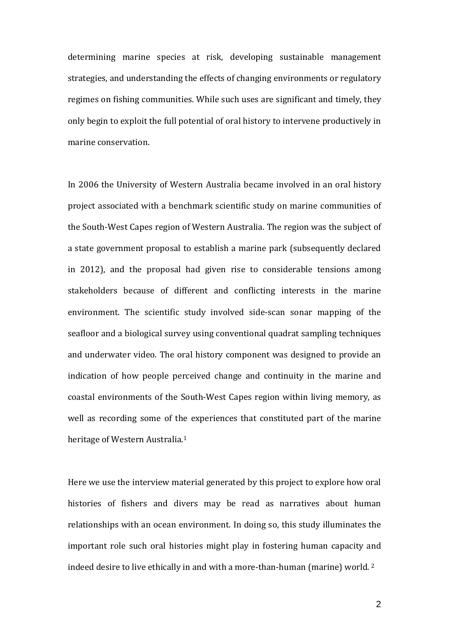determining marine species at risk, developing sustainable management strategies, and understanding the effects of changing environments or regulatory regimes on fishing communities. While such uses are significant and timely, they only begin to exploit the full potential of oral history to intervene productively in marine conservation.

In 2006 the University of Western Australia became involved in an oral history project associated with a benchmark scientific study on marine communities of the South-West Capes region of Western Australia. The region was the subject of a state government proposal to establish a marine park (subsequently declared in 2012), and the proposal had given rise to considerable tensions among stakeholders because of different and conflicting interests in the marine environment. The scientific study involved side-scan sonar mapping of the seafloor and a biological survey using conventional quadrat sampling techniques and underwater video. The oral history component was designed to provide an indication of how people perceived change and continuity in the marine and coastal environments of the South-West Capes region within living memory, as well as recording some of the experiences that constituted part of the marine heritage of Western Australia.[1](#page-20-0)

Here we use the interview material generated by this project to explore how oral histories of fishers and divers may be read as narratives about human relationships with an ocean environment. In doing so, this study illuminates the important role such oral histories might play in fostering human capacity and indeed desire to live ethically in and with a more-than-human (marine) world. [2](#page-20-1)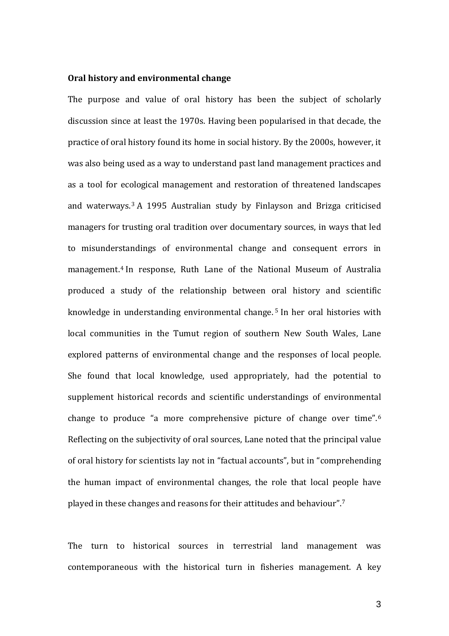# **Oral history and environmental change**

The purpose and value of oral history has been the subject of scholarly discussion since at least the 1970s. Having been popularised in that decade, the practice of oral history found its home in social history. By the 2000s, however, it was also being used as a way to understand past land management practices and as a tool for ecological management and restoration of threatened landscapes and waterways.[3](#page-21-0) A 1995 Australian study by Finlayson and Brizga criticised managers for trusting oral tradition over documentary sources, in ways that led to misunderstandings of environmental change and consequent errors in management.[4](#page-21-1) In response, Ruth Lane of the National Museum of Australia produced a study of the relationship between oral history and scientific knowledge in understanding environmental change. [5](#page-21-2) In her oral histories with local communities in the Tumut region of southern New South Wales, Lane explored patterns of environmental change and the responses of local people. She found that local knowledge, used appropriately, had the potential to supplement historical records and scientific understandings of environmental change to produce "a more comprehensive picture of change over time". [6](#page-21-3) Reflecting on the subjectivity of oral sources, Lane noted that the principal value of oral history for scientists lay not in "factual accounts", but in "comprehending the human impact of environmental changes, the role that local people have played in these changes and reasons for their attitudes and behaviour". [7](#page-21-4)

The turn to historical sources in terrestrial land management was contemporaneous with the historical turn in fisheries management. A key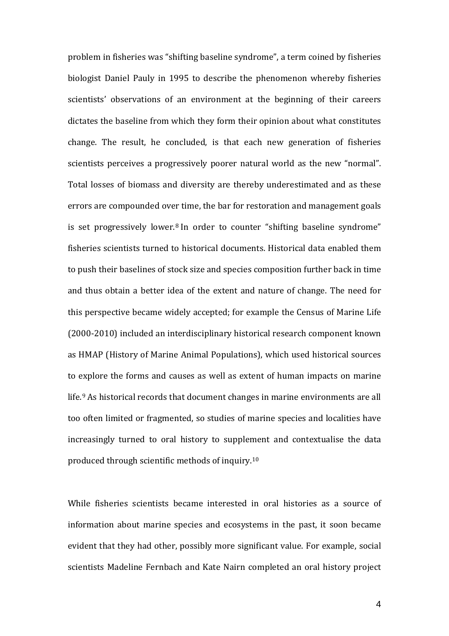problem in fisheries was "shifting baseline syndrome", a term coined by fisheries biologist Daniel Pauly in 1995 to describe the phenomenon whereby fisheries scientists' observations of an environment at the beginning of their careers dictates the baseline from which they form their opinion about what constitutes change. The result, he concluded, is that each new generation of fisheries scientists perceives a progressively poorer natural world as the new "normal". Total losses of biomass and diversity are thereby underestimated and as these errors are compounded over time, the bar for restoration and management goals is set progressively lower.<sup>[8](#page-22-0)</sup> In order to counter "shifting baseline syndrome" fisheries scientists turned to historical documents. Historical data enabled them to push their baselines of stock size and species composition further back in time and thus obtain a better idea of the extent and nature of change. The need for this perspective became widely accepted; for example the Census of Marine Life (2000-2010) included an interdisciplinary historical research component known as HMAP (History of Marine Animal Populations), which used historical sources to explore the forms and causes as well as extent of human impacts on marine life.[9](#page-22-1) As historical records that document changes in marine environments are all too often limited or fragmented, so studies of marine species and localities have increasingly turned to oral history to supplement and contextualise the data produced through scientific methods of inquiry.[10](#page-22-2)

While fisheries scientists became interested in oral histories as a source of information about marine species and ecosystems in the past, it soon became evident that they had other, possibly more significant value. For example, social scientists Madeline Fernbach and Kate Nairn completed an oral history project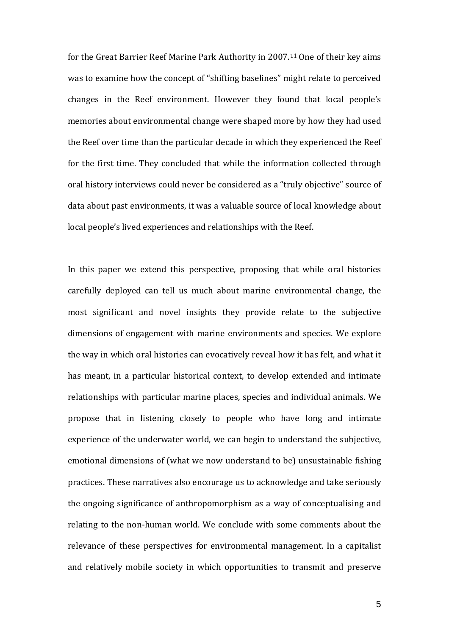for the Great Barrier Reef Marine Park Authority in 2007.[11](#page-23-0) One of their key aims was to examine how the concept of "shifting baselines" might relate to perceived changes in the Reef environment. However they found that local people's memories about environmental change were shaped more by how they had used the Reef over time than the particular decade in which they experienced the Reef for the first time. They concluded that while the information collected through oral history interviews could never be considered as a "truly objective" source of data about past environments, it was a valuable source of local knowledge about local people's lived experiences and relationships with the Reef.

In this paper we extend this perspective, proposing that while oral histories carefully deployed can tell us much about marine environmental change, the most significant and novel insights they provide relate to the subjective dimensions of engagement with marine environments and species. We explore the way in which oral histories can evocatively reveal how it has felt, and what it has meant, in a particular historical context, to develop extended and intimate relationships with particular marine places, species and individual animals. We propose that in listening closely to people who have long and intimate experience of the underwater world, we can begin to understand the subjective, emotional dimensions of (what we now understand to be) unsustainable fishing practices. These narratives also encourage us to acknowledge and take seriously the ongoing significance of anthropomorphism as a way of conceptualising and relating to the non-human world. We conclude with some comments about the relevance of these perspectives for environmental management. In a capitalist and relatively mobile society in which opportunities to transmit and preserve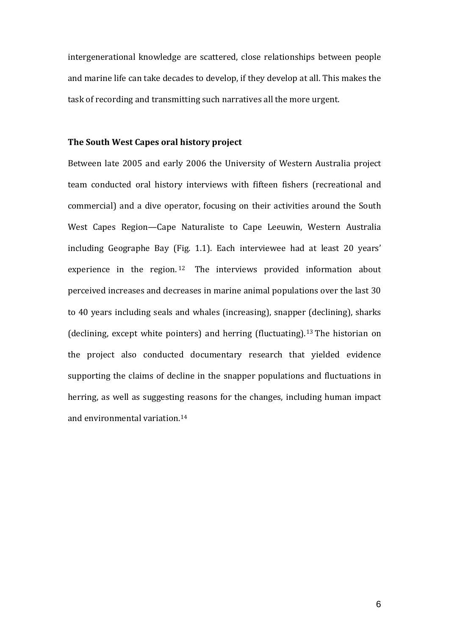intergenerational knowledge are scattered, close relationships between people and marine life can take decades to develop, if they develop at all. This makes the task of recording and transmitting such narratives all the more urgent.

# **The South West Capes oral history project**

Between late 2005 and early 2006 the University of Western Australia project team conducted oral history interviews with fifteen fishers (recreational and commercial) and a dive operator, focusing on their activities around the South West Capes Region—Cape Naturaliste to Cape Leeuwin, Western Australia including Geographe Bay (Fig. 1.1). Each interviewee had at least 20 years' experience in the region. [12](#page-23-1) The interviews provided information about perceived increases and decreases in marine animal populations over the last 30 to 40 years including seals and whales (increasing), snapper (declining), sharks (declining, except white pointers) and herring (fluctuating).[13](#page-23-2) The historian on the project also conducted documentary research that yielded evidence supporting the claims of decline in the snapper populations and fluctuations in herring, as well as suggesting reasons for the changes, including human impact and environmental variation.[14](#page-23-3)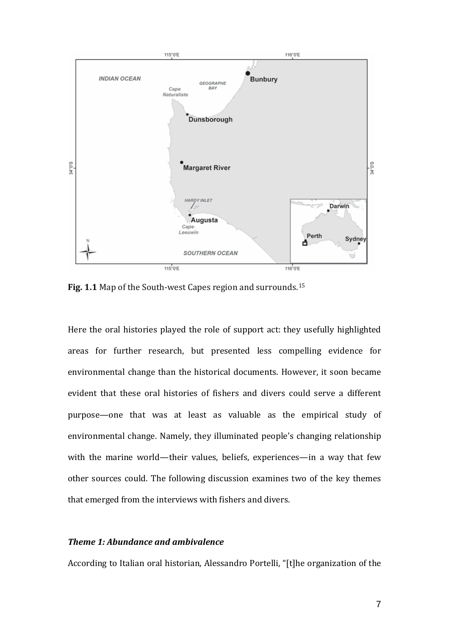

**Fig. 1.1** Map of the South-west Capes region and surrounds.[15](#page-24-0)

Here the oral histories played the role of support act: they usefully highlighted areas for further research, but presented less compelling evidence for environmental change than the historical documents. However, it soon became evident that these oral histories of fishers and divers could serve a different purpose—one that was at least as valuable as the empirical study of environmental change. Namely, they illuminated people's changing relationship with the marine world—their values, beliefs, experiences—in a way that few other sources could. The following discussion examines two of the key themes that emerged from the interviews with fishers and divers.

# *Theme 1: Abundance and ambivalence*

According to Italian oral historian, Alessandro Portelli, "[t]he organization of the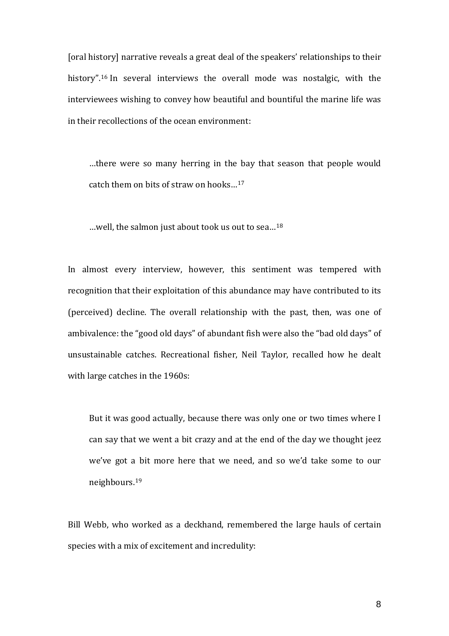[oral history] narrative reveals a great deal of the speakers' relationships to their history".[16](#page-25-0) In several interviews the overall mode was nostalgic, with the interviewees wishing to convey how beautiful and bountiful the marine life was in their recollections of the ocean environment:

…there were so many herring in the bay that season that people would catch them on bits of straw on hooks…[17](#page-25-1)

…well, the salmon just about took us out to sea…[18](#page-25-2)

In almost every interview, however, this sentiment was tempered with recognition that their exploitation of this abundance may have contributed to its (perceived) decline. The overall relationship with the past, then, was one of ambivalence: the "good old days" of abundant fish were also the "bad old days" of unsustainable catches. Recreational fisher, Neil Taylor, recalled how he dealt with large catches in the 1960s:

But it was good actually, because there was only one or two times where I can say that we went a bit crazy and at the end of the day we thought jeez we've got a bit more here that we need, and so we'd take some to our neighbours.[19](#page-25-3)

Bill Webb, who worked as a deckhand, remembered the large hauls of certain species with a mix of excitement and incredulity: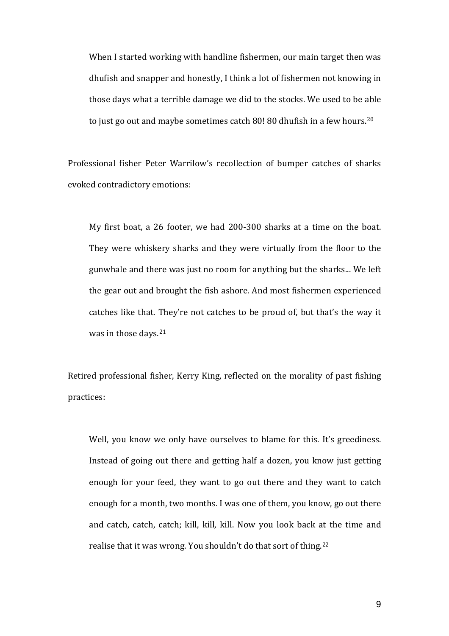When I started working with handline fishermen, our main target then was dhufish and snapper and honestly, I think a lot of fishermen not knowing in those days what a terrible damage we did to the stocks. We used to be able to just go out and maybe sometimes catch 80! 80 dhufish in a few hours.[20](#page-25-4)

Professional fisher Peter Warrilow's recollection of bumper catches of sharks evoked contradictory emotions:

My first boat, a 26 footer, we had 200-300 sharks at a time on the boat. They were whiskery sharks and they were virtually from the floor to the gunwhale and there was just no room for anything but the sharks... We left the gear out and brought the fish ashore. And most fishermen experienced catches like that. They're not catches to be proud of, but that's the way it was in those days.<sup>[21](#page-25-5)</sup>

Retired professional fisher, Kerry King, reflected on the morality of past fishing practices:

Well, you know we only have ourselves to blame for this. It's greediness. Instead of going out there and getting half a dozen, you know just getting enough for your feed, they want to go out there and they want to catch enough for a month, two months. I was one of them, you know, go out there and catch, catch, catch; kill, kill, kill. Now you look back at the time and realise that it was wrong. You shouldn't do that sort of thing.[22](#page-25-6)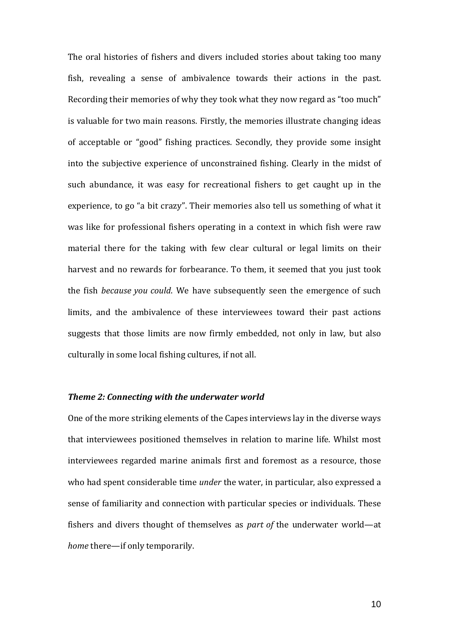The oral histories of fishers and divers included stories about taking too many fish, revealing a sense of ambivalence towards their actions in the past. Recording their memories of why they took what they now regard as "too much" is valuable for two main reasons. Firstly, the memories illustrate changing ideas of acceptable or "good" fishing practices. Secondly, they provide some insight into the subjective experience of unconstrained fishing. Clearly in the midst of such abundance, it was easy for recreational fishers to get caught up in the experience, to go "a bit crazy". Their memories also tell us something of what it was like for professional fishers operating in a context in which fish were raw material there for the taking with few clear cultural or legal limits on their harvest and no rewards for forbearance. To them, it seemed that you just took the fish *because you could*. We have subsequently seen the emergence of such limits, and the ambivalence of these interviewees toward their past actions suggests that those limits are now firmly embedded, not only in law, but also culturally in some local fishing cultures, if not all.

#### *Theme 2: Connecting with the underwater world*

One of the more striking elements of the Capes interviews lay in the diverse ways that interviewees positioned themselves in relation to marine life. Whilst most interviewees regarded marine animals first and foremost as a resource, those who had spent considerable time *under* the water, in particular, also expressed a sense of familiarity and connection with particular species or individuals. These fishers and divers thought of themselves as *part of* the underwater world—at *home* there—if only temporarily.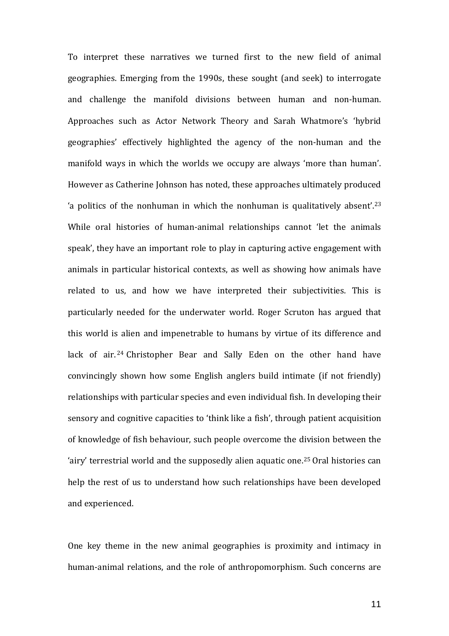To interpret these narratives we turned first to the new field of animal geographies. Emerging from the 1990s, these sought (and seek) to interrogate and challenge the manifold divisions between human and non-human. Approaches such as Actor Network Theory and Sarah Whatmore's 'hybrid geographies' effectively highlighted the agency of the non-human and the manifold ways in which the worlds we occupy are always 'more than human'. However as Catherine Johnson has noted, these approaches ultimately produced 'a politics of the nonhuman in which the nonhuman is qualitatively absent'[.23](#page-25-7) While oral histories of human-animal relationships cannot 'let the animals speak', they have an important role to play in capturing active engagement with animals in particular historical contexts, as well as showing how animals have related to us, and how we have interpreted their subjectivities. This is particularly needed for the underwater world. Roger Scruton has argued that this world is alien and impenetrable to humans by virtue of its difference and lack of air. [24](#page-25-8) Christopher Bear and Sally Eden on the other hand have convincingly shown how some English anglers build intimate (if not friendly) relationships with particular species and even individual fish. In developing their sensory and cognitive capacities to 'think like a fish', through patient acquisition of knowledge of fish behaviour, such people overcome the division between the 'airy' terrestrial world and the supposedly alien aquatic one.[25](#page-25-9) Oral histories can help the rest of us to understand how such relationships have been developed and experienced.

One key theme in the new animal geographies is proximity and intimacy in human-animal relations, and the role of anthropomorphism. Such concerns are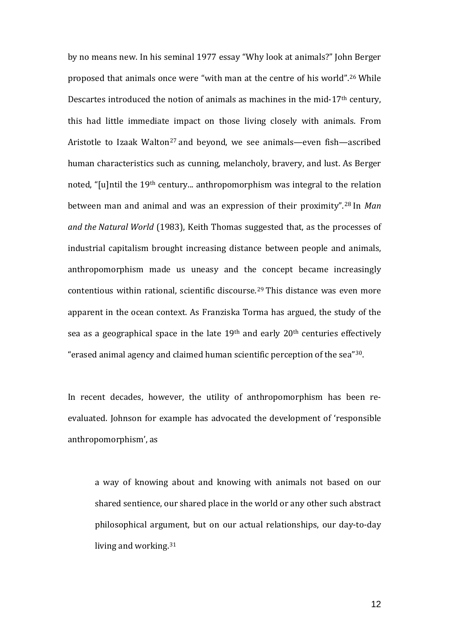by no means new. In his seminal 1977 essay "Why look at animals?" John Berger proposed that animals once were "with man at the centre of his world".[26](#page-25-10) While Descartes introduced the notion of animals as machines in the mid-17<sup>th</sup> century, this had little immediate impact on those living closely with animals. From Aristotle to Izaak Walton<sup>[27](#page-25-11)</sup> and beyond, we see animals—even fish—ascribed human characteristics such as cunning, melancholy, bravery, and lust. As Berger noted, "[u]ntil the 19th century... anthropomorphism was integral to the relation between man and animal and was an expression of their proximity".[28](#page-25-12) In *Man and the Natural World* (1983), Keith Thomas suggested that, as the processes of industrial capitalism brought increasing distance between people and animals, anthropomorphism made us uneasy and the concept became increasingly contentious within rational, scientific discourse. [29](#page-25-13) This distance was even more apparent in the ocean context. As Franziska Torma has argued, the study of the sea as a geographical space in the late 19<sup>th</sup> and early 20<sup>th</sup> centuries effectively "erased animal agency and claimed human scientific perception of the sea"[30](#page-25-1).

In recent decades, however, the utility of anthropomorphism has been reevaluated. Johnson for example has advocated the development of 'responsible anthropomorphism', as

a way of knowing about and knowing with animals not based on our shared sentience, our shared place in the world or any other such abstract philosophical argument, but on our actual relationships, our day-to-day living and working.[31](#page-25-14)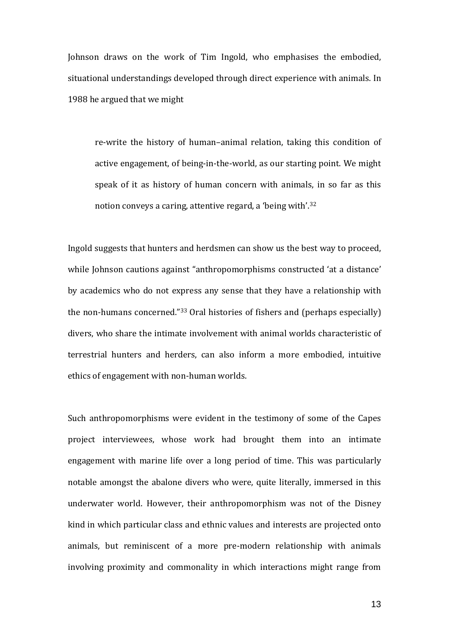Johnson draws on the work of Tim Ingold, who emphasises the embodied, situational understandings developed through direct experience with animals. In 1988 he argued that we might

re-write the history of human–animal relation, taking this condition of active engagement, of being-in-the-world, as our starting point. We might speak of it as history of human concern with animals, in so far as this notion conveys a caring, attentive regard, a 'being with'.[32](#page-25-3)

Ingold suggests that hunters and herdsmen can show us the best way to proceed, while Johnson cautions against "anthropomorphisms constructed 'at a distance' by academics who do not express any sense that they have a relationship with the non-humans concerned."[33](#page-25-4) Oral histories of fishers and (perhaps especially) divers, who share the intimate involvement with animal worlds characteristic of terrestrial hunters and herders, can also inform a more embodied, intuitive ethics of engagement with non-human worlds.

Such anthropomorphisms were evident in the testimony of some of the Capes project interviewees, whose work had brought them into an intimate engagement with marine life over a long period of time. This was particularly notable amongst the abalone divers who were, quite literally, immersed in this underwater world. However, their anthropomorphism was not of the Disney kind in which particular class and ethnic values and interests are projected onto animals, but reminiscent of a more pre-modern relationship with animals involving proximity and commonality in which interactions might range from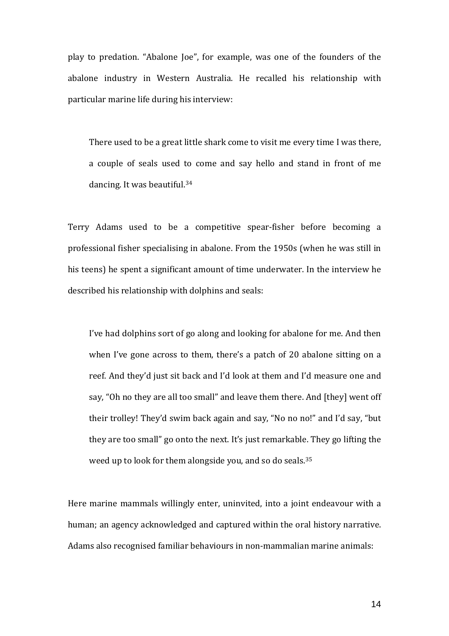play to predation. "Abalone Joe", for example, was one of the founders of the abalone industry in Western Australia. He recalled his relationship with particular marine life during his interview:

There used to be a great little shark come to visit me every time I was there, a couple of seals used to come and say hello and stand in front of me dancing. It was beautiful.[34](#page-25-15)

Terry Adams used to be a competitive spear-fisher before becoming a professional fisher specialising in abalone. From the 1950s (when he was still in his teens) he spent a significant amount of time underwater. In the interview he described his relationship with dolphins and seals:

I've had dolphins sort of go along and looking for abalone for me. And then when I've gone across to them, there's a patch of 20 abalone sitting on a reef. And they'd just sit back and I'd look at them and I'd measure one and say, "Oh no they are all too small" and leave them there. And [they] went off their trolley! They'd swim back again and say, "No no no!" and I'd say, "but they are too small" go onto the next. It's just remarkable. They go lifting the weed up to look for them alongside you, and so do seals.[35](#page-25-16)

Here marine mammals willingly enter, uninvited, into a joint endeavour with a human; an agency acknowledged and captured within the oral history narrative. Adams also recognised familiar behaviours in non-mammalian marine animals: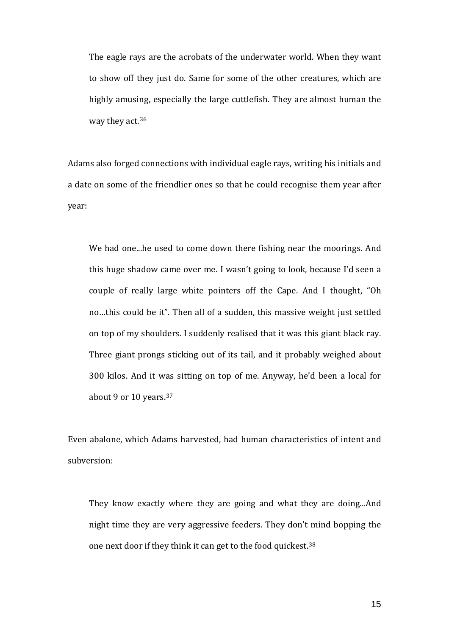The eagle rays are the acrobats of the underwater world. When they want to show off they just do. Same for some of the other creatures, which are highly amusing, especially the large cuttlefish. They are almost human the way they act.[36](#page-25-17)

Adams also forged connections with individual eagle rays, writing his initials and a date on some of the friendlier ones so that he could recognise them year after year:

We had one...he used to come down there fishing near the moorings. And this huge shadow came over me. I wasn't going to look, because I'd seen a couple of really large white pointers off the Cape. And I thought, "Oh no…this could be it". Then all of a sudden, this massive weight just settled on top of my shoulders. I suddenly realised that it was this giant black ray. Three giant prongs sticking out of its tail, and it probably weighed about 300 kilos. And it was sitting on top of me. Anyway, he'd been a local for about 9 or 10 years.[37](#page-25-7)

Even abalone, which Adams harvested, had human characteristics of intent and subversion:

They know exactly where they are going and what they are doing...And night time they are very aggressive feeders. They don't mind bopping the one next door if they think it can get to the food quickest.<sup>[38](#page-25-18)</sup>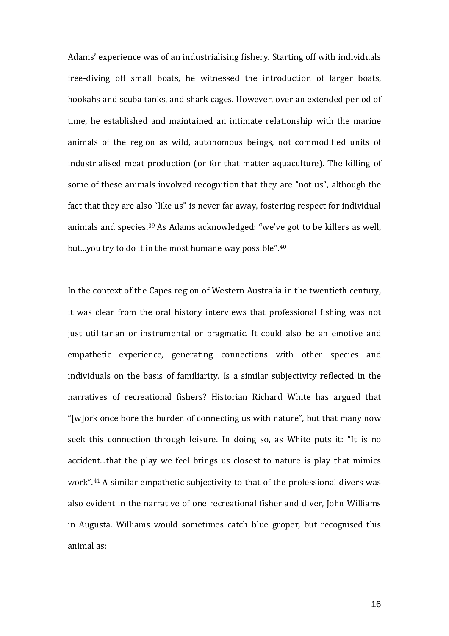Adams' experience was of an industrialising fishery. Starting off with individuals free-diving off small boats, he witnessed the introduction of larger boats, hookahs and scuba tanks, and shark cages. However, over an extended period of time, he established and maintained an intimate relationship with the marine animals of the region as wild, autonomous beings, not commodified units of industrialised meat production (or for that matter aquaculture). The killing of some of these animals involved recognition that they are "not us", although the fact that they are also "like us" is never far away, fostering respect for individual animals and species.[39](#page-25-8) As Adams acknowledged: "we've got to be killers as well, but...you try to do it in the most humane way possible".<sup>[40](#page-25-19)</sup>

In the context of the Capes region of Western Australia in the twentieth century, it was clear from the oral history interviews that professional fishing was not just utilitarian or instrumental or pragmatic. It could also be an emotive and empathetic experience, generating connections with other species and individuals on the basis of familiarity. Is a similar subjectivity reflected in the narratives of recreational fishers? Historian Richard White has argued that "[w]ork once bore the burden of connecting us with nature", but that many now seek this connection through leisure. In doing so, as White puts it: "It is no accident...that the play we feel brings us closest to nature is play that mimics work".[41](#page-25-10) A similar empathetic subjectivity to that of the professional divers was also evident in the narrative of one recreational fisher and diver, John Williams in Augusta. Williams would sometimes catch blue groper, but recognised this animal as: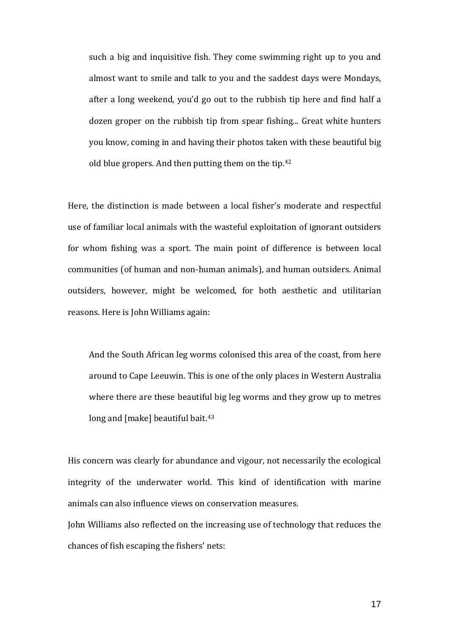such a big and inquisitive fish. They come swimming right up to you and almost want to smile and talk to you and the saddest days were Mondays, after a long weekend, you'd go out to the rubbish tip here and find half a dozen groper on the rubbish tip from spear fishing... Great white hunters you know, coming in and having their photos taken with these beautiful big old blue gropers. And then putting them on the tip.[42](#page-25-20)

Here, the distinction is made between a local fisher's moderate and respectful use of familiar local animals with the wasteful exploitation of ignorant outsiders for whom fishing was a sport. The main point of difference is between local communities (of human and non-human animals), and human outsiders. Animal outsiders, however, might be welcomed, for both aesthetic and utilitarian reasons. Here is John Williams again:

And the South African leg worms colonised this area of the coast, from here around to Cape Leeuwin. This is one of the only places in Western Australia where there are these beautiful big leg worms and they grow up to metres long and [make] beautiful bait.<sup>[43](#page-25-12)</sup>

His concern was clearly for abundance and vigour, not necessarily the ecological integrity of the underwater world. This kind of identification with marine animals can also influence views on conservation measures.

John Williams also reflected on the increasing use of technology that reduces the chances of fish escaping the fishers' nets: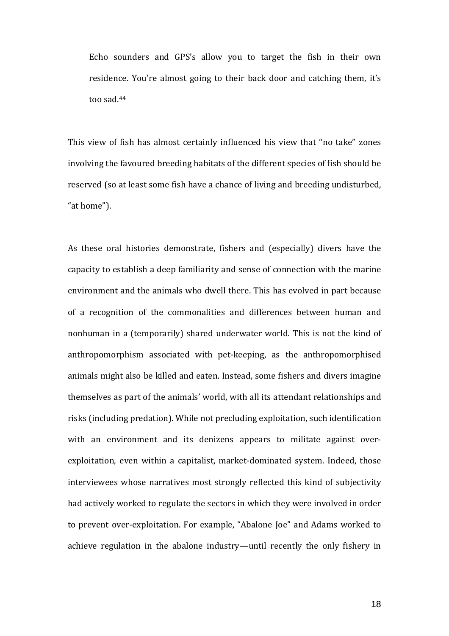Echo sounders and GPS's allow you to target the fish in their own residence. You're almost going to their back door and catching them, it's too sad.[44](#page-25-0)

This view of fish has almost certainly influenced his view that "no take" zones involving the favoured breeding habitats of the different species of fish should be reserved (so at least some fish have a chance of living and breeding undisturbed, "at home").

As these oral histories demonstrate, fishers and (especially) divers have the capacity to establish a deep familiarity and sense of connection with the marine environment and the animals who dwell there. This has evolved in part because of a recognition of the commonalities and differences between human and nonhuman in a (temporarily) shared underwater world. This is not the kind of anthropomorphism associated with pet-keeping, as the anthropomorphised animals might also be killed and eaten. Instead, some fishers and divers imagine themselves as part of the animals' world, with all its attendant relationships and risks (including predation). While not precluding exploitation, such identification with an environment and its denizens appears to militate against overexploitation, even within a capitalist, market-dominated system. Indeed, those interviewees whose narratives most strongly reflected this kind of subjectivity had actively worked to regulate the sectors in which they were involved in order to prevent over-exploitation. For example, "Abalone Joe" and Adams worked to achieve regulation in the abalone industry—until recently the only fishery in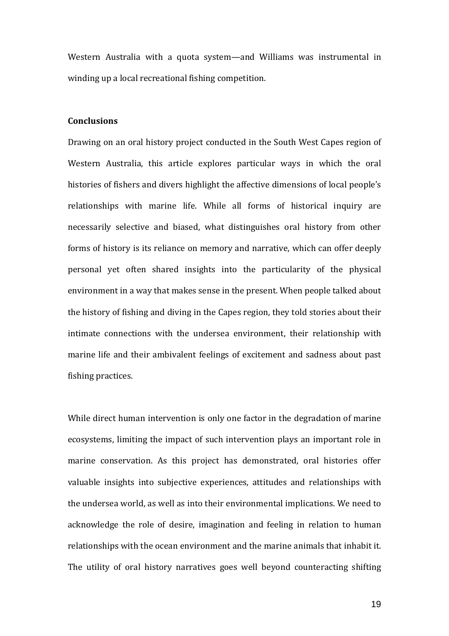Western Australia with a quota system—and Williams was instrumental in winding up a local recreational fishing competition.

### **Conclusions**

Drawing on an oral history project conducted in the South West Capes region of Western Australia, this article explores particular ways in which the oral histories of fishers and divers highlight the affective dimensions of local people's relationships with marine life. While all forms of historical inquiry are necessarily selective and biased, what distinguishes oral history from other forms of history is its reliance on memory and narrative, which can offer deeply personal yet often shared insights into the particularity of the physical environment in a way that makes sense in the present. When people talked about the history of fishing and diving in the Capes region, they told stories about their intimate connections with the undersea environment, their relationship with marine life and their ambivalent feelings of excitement and sadness about past fishing practices.

While direct human intervention is only one factor in the degradation of marine ecosystems, limiting the impact of such intervention plays an important role in marine conservation. As this project has demonstrated, oral histories offer valuable insights into subjective experiences, attitudes and relationships with the undersea world, as well as into their environmental implications. We need to acknowledge the role of desire, imagination and feeling in relation to human relationships with the ocean environment and the marine animals that inhabit it. The utility of oral history narratives goes well beyond counteracting shifting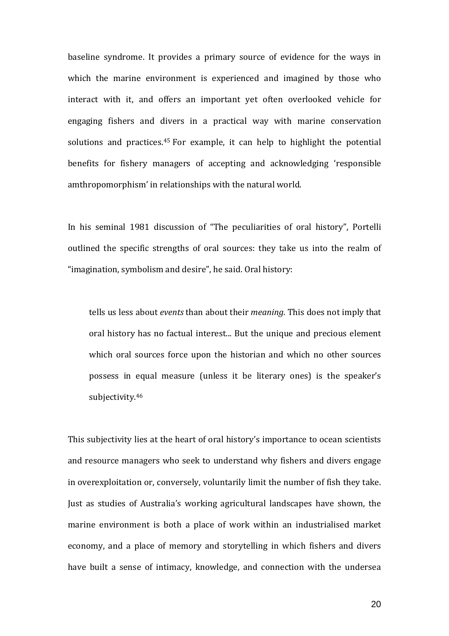baseline syndrome. It provides a primary source of evidence for the ways in which the marine environment is experienced and imagined by those who interact with it, and offers an important yet often overlooked vehicle for engaging fishers and divers in a practical way with marine conservation solutions and practices.[45](#page-25-21) For example, it can help to highlight the potential benefits for fishery managers of accepting and acknowledging 'responsible amthropomorphism' in relationships with the natural world.

In his seminal 1981 discussion of "The peculiarities of oral history", Portelli outlined the specific strengths of oral sources: they take us into the realm of "imagination, symbolism and desire", he said. Oral history:

tells us less about *events* than about their *meaning*. This does not imply that oral history has no factual interest... But the unique and precious element which oral sources force upon the historian and which no other sources possess in equal measure (unless it be literary ones) is the speaker's subjectivity.[46](#page-25-22)

This subjectivity lies at the heart of oral history's importance to ocean scientists and resource managers who seek to understand why fishers and divers engage in overexploitation or, conversely, voluntarily limit the number of fish they take. Just as studies of Australia's working agricultural landscapes have shown, the marine environment is both a place of work within an industrialised market economy, and a place of memory and storytelling in which fishers and divers have built a sense of intimacy, knowledge, and connection with the undersea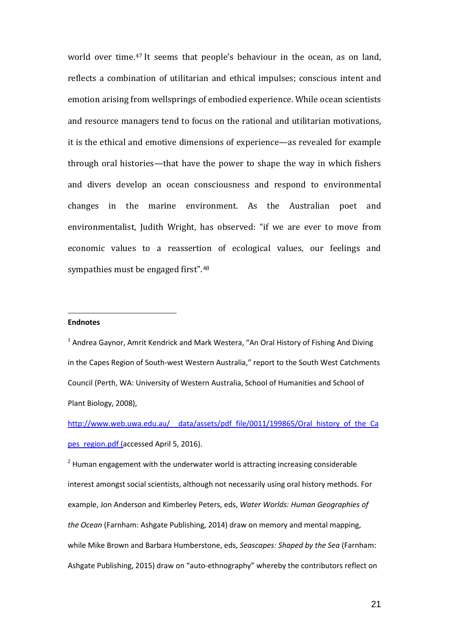world over time.<sup>[47](#page-25-4)</sup> It seems that people's behaviour in the ocean, as on land, reflects a combination of utilitarian and ethical impulses; conscious intent and emotion arising from wellsprings of embodied experience. While ocean scientists and resource managers tend to focus on the rational and utilitarian motivations, it is the ethical and emotive dimensions of experience—as revealed for example through oral histories—that have the power to shape the way in which fishers and divers develop an ocean consciousness and respond to environmental changes in the marine environment. As the Australian poet and environmentalist, Judith Wright, has observed: "if we are ever to move from economic values to a reassertion of ecological values, our feelings and sympathies must be engaged first".[48](#page-25-7)

#### <span id="page-20-0"></span>**Endnotes** j

 $1$  Andrea Gaynor, Amrit Kendrick and Mark Westera, "An Oral History of Fishing And Diving in the Capes Region of South-west Western Australia," report to the South West Catchments Council (Perth, WA: University of Western Australia, School of Humanities and School of Plant Biology, 2008),

http://www.web.uwa.edu.au/ data/assets/pdf file/0011/199865/Oral history of the Ca pes region.pdf (accessed April 5, 2016).

<span id="page-20-1"></span> $2$  Human engagement with the underwater world is attracting increasing considerable interest amongst social scientists, although not necessarily using oral history methods. For example, Jon Anderson and Kimberley Peters, eds, *Water Worlds: Human Geographies of the Ocean* (Farnham: Ashgate Publishing, 2014) draw on memory and mental mapping, while Mike Brown and Barbara Humberstone, eds, *Seascapes: Shaped by the Sea* (Farnham: Ashgate Publishing, 2015) draw on "auto-ethnography" whereby the contributors reflect on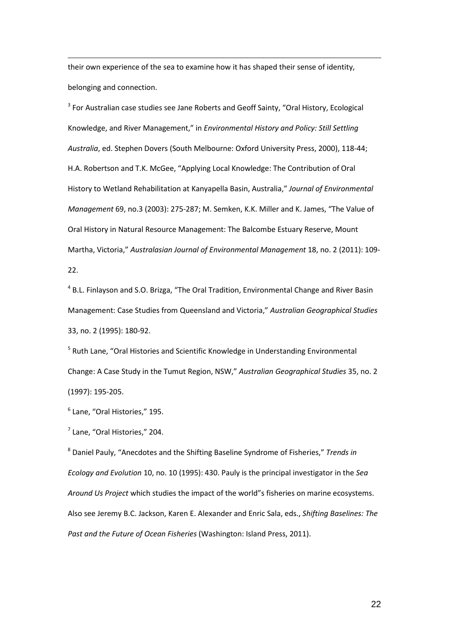their own experience of the sea to examine how it has shaped their sense of identity, belonging and connection. 1

<span id="page-21-0"></span><sup>3</sup> For Australian case studies see Jane Roberts and Geoff Sainty, "Oral History, Ecological Knowledge, and River Management," in *Environmental History and Policy: Still Settling Australia*, ed. Stephen Dovers (South Melbourne: Oxford University Press, 2000), 118-44; H.A. Robertson and T.K. McGee, "Applying Local Knowledge: The Contribution of Oral History to Wetland Rehabilitation at Kanyapella Basin, Australia," *Journal of Environmental Management* 69, no.3 (2003): 275-287; M. Semken, K.K. Miller and K. James, "The Value of Oral History in Natural Resource Management: The Balcombe Estuary Reserve, Mount Martha, Victoria," *Australasian Journal of Environmental Management* 18, no. 2 (2011): 109- 22.

<span id="page-21-1"></span><sup>4</sup> B.L. Finlayson and S.O. Brizga, "The Oral Tradition, Environmental Change and River Basin Management: Case Studies from Queensland and Victoria," *Australian Geographical Studies* 33, no. 2 (1995): 180-92.

<span id="page-21-2"></span><sup>5</sup> Ruth Lane, "Oral Histories and Scientific Knowledge in Understanding Environmental Change: A Case Study in the Tumut Region, NSW," *Australian Geographical Studies* 35, no. 2 (1997): 195-205.

<span id="page-21-3"></span><sup>6</sup> Lane, "Oral Histories," 195.

<span id="page-21-4"></span> $<sup>7</sup>$  Lane, "Oral Histories," 204.</sup>

<sup>8</sup> Daniel Pauly, "Anecdotes and the Shifting Baseline Syndrome of Fisheries," *Trends in Ecology and Evolution* 10, no. 10 (1995): 430. Pauly is the principal investigator in the *Sea Around Us Project* which studies the impact of the world"s fisheries on marine ecosystems. Also see Jeremy B.C. Jackson, Karen E. Alexander and Enric Sala, eds., *Shifting Baselines: The Past and the Future of Ocean Fisheries* (Washington: Island Press, 2011).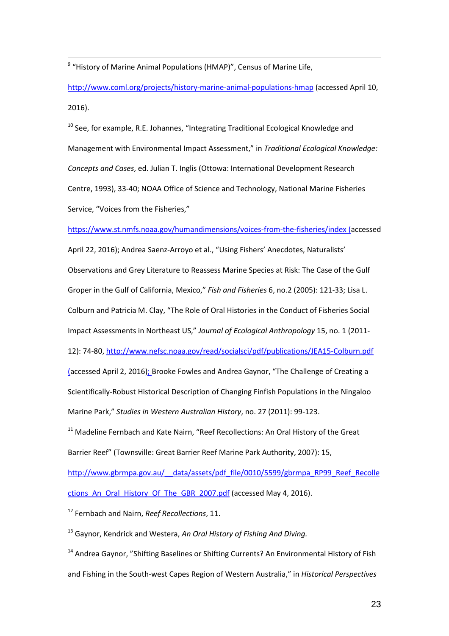<span id="page-22-1"></span><sup>9</sup> "History of Marine Animal Populations (HMAP)", Census of Marine Life,  $\frac{1}{c}$ 

<http://www.coml.org/projects/history-marine-animal-populations-hmap> (accessed April 10, 2016).

<span id="page-22-2"></span> $10$  See, for example, R.E. Johannes, "Integrating Traditional Ecological Knowledge and Management with Environmental Impact Assessment," in *Traditional Ecological Knowledge: Concepts and Cases*, ed. Julian T. Inglis (Ottowa: International Development Research Centre, 1993), 33-40; NOAA Office of Science and Technology, National Marine Fisheries Service, "Voices from the Fisheries,"

<https://www.st.nmfs.noaa.gov/humandimensions/voices-from-the-fisheries/index> (accessed

April 22, 2016); Andrea Saenz-Arroyo et al., "Using Fishers' Anecdotes, Naturalists' Observations and Grey Literature to Reassess Marine Species at Risk: The Case of the Gulf Groper in the Gulf of California, Mexico," *Fish and Fisheries* 6, no.2 (2005): 121-33; Lisa L. Colburn and Patricia M. Clay, "The Role of Oral Histories in the Conduct of Fisheries Social Impact Assessments in Northeast US," *Journal of Ecological Anthropology* 15, no. 1 (2011- 12): 74-80[, http://www.nefsc.noaa.gov/read/socialsci/pdf/publications/JEA15-Colburn.pdf](http://www.nefsc.noaa.gov/read/socialsci/pdf/publications/JEA15-Colburn.pdf) (accessed April 2, 2016); Brooke Fowles and Andrea Gaynor, "The Challenge of Creating a Scientifically-Robust Historical Description of Changing Finfish Populations in the Ningaloo Marine Park," *Studies in Western Australian History*, no. 27 (2011): 99-123.

<span id="page-22-0"></span> $11$  Madeline Fernbach and Kate Nairn, "Reef Recollections: An Oral History of the Great Barrier Reef" (Townsville: Great Barrier Reef Marine Park Authority, 2007): 15,

[http://www.gbrmpa.gov.au/\\_\\_data/assets/pdf\\_file/0010/5599/gbrmpa\\_RP99\\_Reef\\_Recolle](http://www.gbrmpa.gov.au/__data/assets/pdf_file/0010/5599/gbrmpa_RP99_Reef_Recollections_An_Oral_History_Of_The_GBR_2007.pdf) ctions An\_Oral\_History\_Of\_The\_GBR\_2007.pdf (accessed May 4, 2016).

<sup>12</sup> Fernbach and Nairn, *Reef Recollections*, 11.

<sup>13</sup> Gaynor, Kendrick and Westera, *An Oral History of Fishing And Diving.*

<sup>14</sup> Andrea Gaynor, "Shifting Baselines or Shifting Currents? An Environmental History of Fish and Fishing in the South-west Capes Region of Western Australia," in *Historical Perspectives*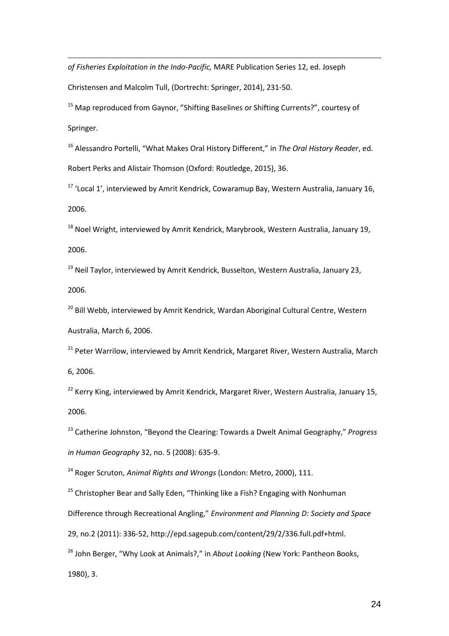*of Fisheries Exploitation in the Indo-Pacific,* MARE Publication Series 12, ed. Joseph 1

Christensen and Malcolm Tull, (Dortrecht: Springer, 2014), 231-50.

<sup>15</sup> Map reproduced from Gaynor, "Shifting Baselines or Shifting Currents?", courtesy of Springer.

<sup>16</sup> Alessandro Portelli, "What Makes Oral History Different," in *The Oral History Reader*, ed. Robert Perks and Alistair Thomson (Oxford: Routledge, 2015), 36.

<sup>17</sup> 'Local 1', interviewed by Amrit Kendrick, Cowaramup Bay, Western Australia, January 16, 2006.

<sup>18</sup> Noel Wright, interviewed by Amrit Kendrick, Marybrook, Western Australia, January 19, 2006.

 $19$  Neil Taylor, interviewed by Amrit Kendrick, Busselton, Western Australia, January 23, 2006.

<sup>20</sup> Bill Webb, interviewed by Amrit Kendrick, Wardan Aboriginal Cultural Centre, Western Australia, March 6, 2006.

<sup>21</sup> Peter Warrilow, interviewed by Amrit Kendrick, Margaret River, Western Australia, March 6, 2006.

 $22$  Kerry King, interviewed by Amrit Kendrick, Margaret River, Western Australia, January 15, 2006.

<span id="page-23-0"></span><sup>23</sup> Catherine Johnston, "Beyond the Clearing: Towards a Dwelt Animal Geography," *Progress in Human Geography* 32, no. 5 (2008): 635-9.

<sup>24</sup> Roger Scruton, *Animal Rights and Wrongs* (London: Metro, 2000), 111.

 $25$  Christopher Bear and Sally Eden, "Thinking like a Fish? Engaging with Nonhuman

<span id="page-23-1"></span>Difference through Recreational Angling," *Environment and Planning D: Society and Space* 

<span id="page-23-2"></span>29, no.2 (2011): 336-52, http://epd.sagepub.com/content/29/2/336.full.pdf+html.

<span id="page-23-3"></span><sup>26</sup> John Berger, "Why Look at Animals?," in *About Looking* (New York: Pantheon Books,

1980), 3.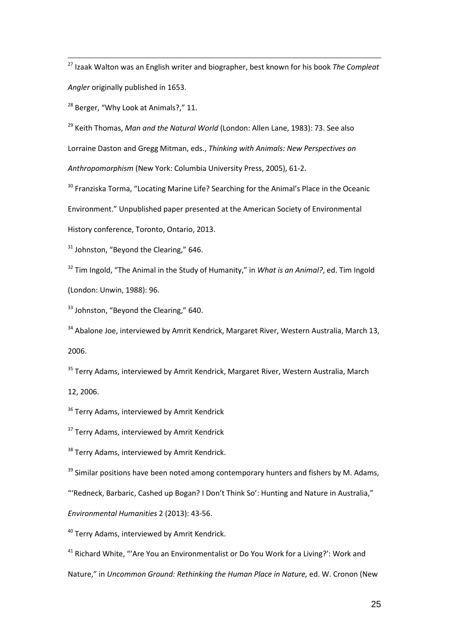<sup>27</sup> Izaak Walton was an English writer and biographer, best known for his book *The Compleat Angler* originally published in 1653.  $\frac{1}{1}$ 

<span id="page-24-0"></span> $28$  Berger, "Why Look at Animals?," 11.

<sup>29</sup> Keith Thomas, *Man and the Natural World* (London: Allen Lane, 1983): 73. See also Lorraine Daston and Gregg Mitman, eds., *Thinking with Animals: New Perspectives on Anthropomorphism* (New York: Columbia University Press, 2005), 61-2.

<sup>30</sup> Franziska Torma, "Locating Marine Life? Searching for the Animal's Place in the Oceanic

Environment." Unpublished paper presented at the American Society of Environmental

History conference, Toronto, Ontario, 2013.

 $31$  Johnston, "Beyond the Clearing," 646.

<sup>32</sup> Tim Ingold, "The Animal in the Study of Humanity," in *What is an Animal?*, ed. Tim Ingold

(London: Unwin, 1988): 96.

<sup>33</sup> Johnston, "Beyond the Clearing," 640.

<sup>34</sup> Abalone Joe, interviewed by Amrit Kendrick, Margaret River, Western Australia, March 13, 2006.

<sup>35</sup> Terry Adams, interviewed by Amrit Kendrick, Margaret River, Western Australia, March

12, 2006.

<sup>36</sup> Terry Adams, interviewed by Amrit Kendrick

<sup>37</sup> Terry Adams, interviewed by Amrit Kendrick

<sup>38</sup> Terry Adams, interviewed by Amrit Kendrick.

 $39$  Similar positions have been noted among contemporary hunters and fishers by M. Adams,

"'Redneck, Barbaric, Cashed up Bogan? I Don't Think So': Hunting and Nature in Australia,"

*Environmental Humanities* 2 (2013): 43-56.

<sup>40</sup> Terry Adams, interviewed by Amrit Kendrick.

 $41$  Richard White, "'Are You an Environmentalist or Do You Work for a Living?': Work and

Nature," in *Uncommon Ground: Rethinking the Human Place in Nature,* ed. W. Cronon (New